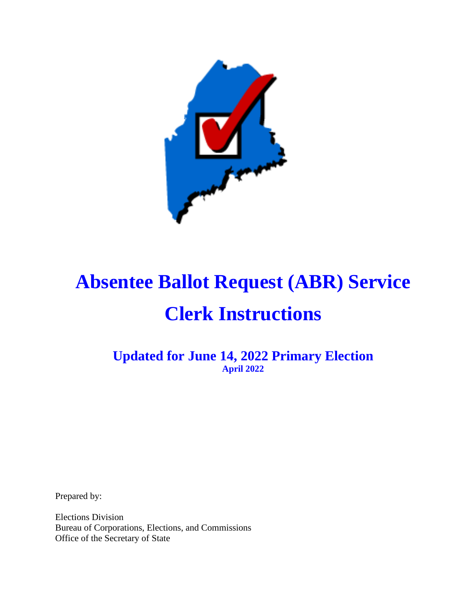

**Updated for June 14, 2022 Primary Election April 2022**

Prepared by:

Elections Division Bureau of Corporations, Elections, and Commissions Office of the Secretary of State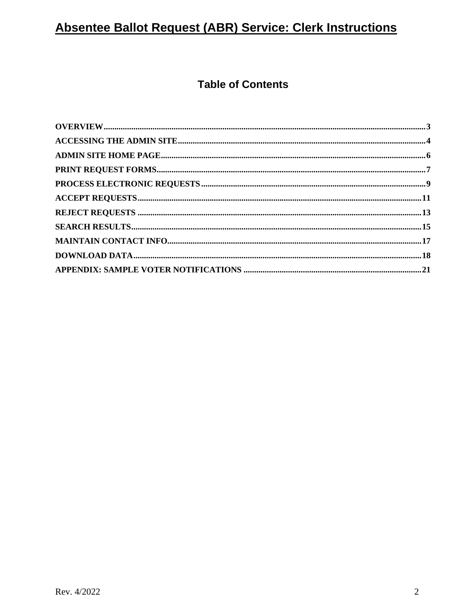#### **Table of Contents**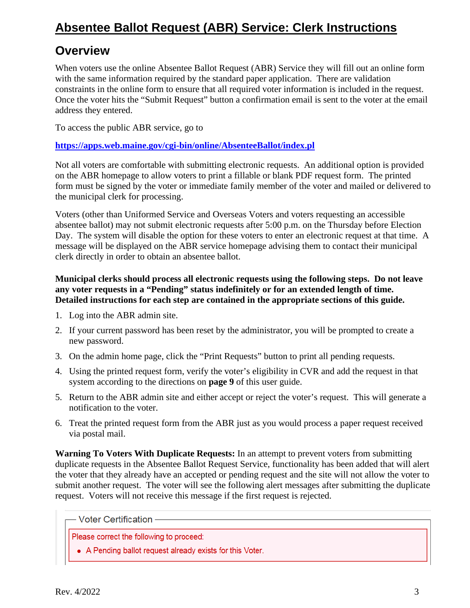#### **Overview**

When voters use the online Absentee Ballot Request (ABR) Service they will fill out an online form with the same information required by the standard paper application. There are validation constraints in the online form to ensure that all required voter information is included in the request. Once the voter hits the "Submit Request" button a confirmation email is sent to the voter at the email address they entered.

To access the public ABR service, go to

#### **<https://apps.web.maine.gov/cgi-bin/online/AbsenteeBallot/index.pl>**

Not all voters are comfortable with submitting electronic requests. An additional option is provided on the ABR homepage to allow voters to print a fillable or blank PDF request form. The printed form must be signed by the voter or immediate family member of the voter and mailed or delivered to the municipal clerk for processing.

Voters (other than Uniformed Service and Overseas Voters and voters requesting an accessible absentee ballot) may not submit electronic requests after 5:00 p.m. on the Thursday before Election Day. The system will disable the option for these voters to enter an electronic request at that time. A message will be displayed on the ABR service homepage advising them to contact their municipal clerk directly in order to obtain an absentee ballot.

#### **Municipal clerks should process all electronic requests using the following steps. Do not leave any voter requests in a "Pending" status indefinitely or for an extended length of time. Detailed instructions for each step are contained in the appropriate sections of this guide.**

- 1. Log into the ABR admin site.
- 2. If your current password has been reset by the administrator, you will be prompted to create a new password.
- 3. On the admin home page, click the "Print Requests" button to print all pending requests.
- 4. Using the printed request form, verify the voter's eligibility in CVR and add the request in that system according to the directions on **page 9** of this user guide.
- 5. Return to the ABR admin site and either accept or reject the voter's request. This will generate a notification to the voter.
- 6. Treat the printed request form from the ABR just as you would process a paper request received via postal mail.

**Warning To Voters With Duplicate Requests:** In an attempt to prevent voters from submitting duplicate requests in the Absentee Ballot Request Service, functionality has been added that will alert the voter that they already have an accepted or pending request and the site will not allow the voter to submit another request. The voter will see the following alert messages after submitting the duplicate request. Voters will not receive this message if the first request is rejected.

**Voter Certification -**

Please correct the following to proceed:

• A Pending ballot request already exists for this Voter.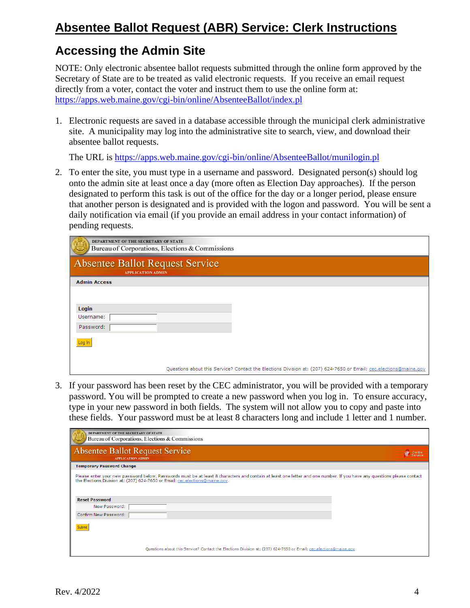#### **Accessing the Admin Site**

NOTE: Only electronic absentee ballot requests submitted through the online form approved by the Secretary of State are to be treated as valid electronic requests. If you receive an email request directly from a voter, contact the voter and instruct them to use the online form at: <https://apps.web.maine.gov/cgi-bin/online/AbsenteeBallot/index.pl>

1. Electronic requests are saved in a database accessible through the municipal clerk administrative site. A municipality may log into the administrative site to search, view, and download their absentee ballot requests.

The URL is <https://apps.web.maine.gov/cgi-bin/online/AbsenteeBallot/munilogin.pl>

2. To enter the site, you must type in a username and password. Designated person(s) should log onto the admin site at least once a day (more often as Election Day approaches). If the person designated to perform this task is out of the office for the day or a longer period, please ensure that another person is designated and is provided with the logon and password. You will be sent a daily notification via email (if you provide an email address in your contact information) of pending requests.

| DEPARTMENT OF THE SECRETARY OF STATE<br>Bureau of Corporations, Elections & Commissions |                                                                                                                   |
|-----------------------------------------------------------------------------------------|-------------------------------------------------------------------------------------------------------------------|
| <b>Absentee Ballot Request Service</b><br><b>APPLICATION ADMIN</b>                      |                                                                                                                   |
| <b>Admin Access</b>                                                                     |                                                                                                                   |
| Login<br>Username:<br>Password:<br>Log In                                               |                                                                                                                   |
|                                                                                         | Questions about this Service? Contact the Elections Division at: (207) 624-7650 or Email: cec.elections@maine.gov |

3. If your password has been reset by the CEC administrator, you will be provided with a temporary password. You will be prompted to create a new password when you log in. To ensure accuracy, type in your new password in both fields. The system will not allow you to copy and paste into these fields. Your password must be at least 8 characters long and include 1 letter and 1 number.

| DEPARTMENT OF THE SECRETARY OF STATE<br>Bureau of Corporations, Elections & Commissions                                                                                                                                                                                                          |                        |
|--------------------------------------------------------------------------------------------------------------------------------------------------------------------------------------------------------------------------------------------------------------------------------------------------|------------------------|
| <b>Absentee Ballot Request Service</b><br><b>APPLICATION ADMIN</b>                                                                                                                                                                                                                               | @<br>Online<br>Service |
| <b>Temporary Password Change</b>                                                                                                                                                                                                                                                                 |                        |
| Please enter your new password below. Passwords must be at least 8 characters and contain at least one letter and one number. If you have any questions please contact<br>the Elections Division at: (207) 624-7650 or Email: cec.elections@maine.gov.<br><b>Reset Password</b><br>New Password: |                        |
| Confirm New Password:                                                                                                                                                                                                                                                                            |                        |
| Submit<br>Questions about this Service? Contact the Elections Division at: (207) 624-7650 or Email: cec.elections@maine.gov                                                                                                                                                                      |                        |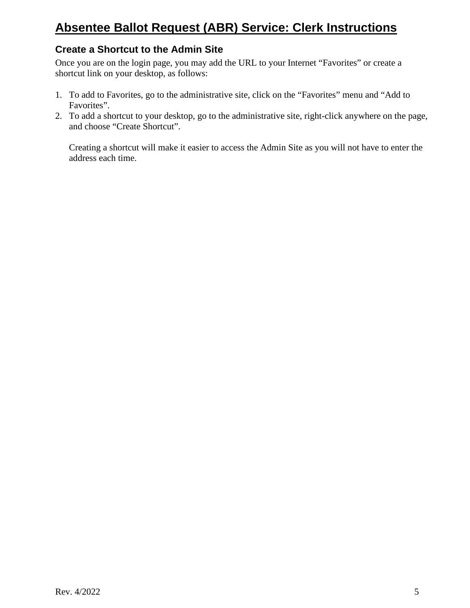#### **Create a Shortcut to the Admin Site**

Once you are on the login page, you may add the URL to your Internet "Favorites" or create a shortcut link on your desktop, as follows:

- 1. To add to Favorites, go to the administrative site, click on the "Favorites" menu and "Add to Favorites".
- 2. To add a shortcut to your desktop, go to the administrative site, right-click anywhere on the page, and choose "Create Shortcut".

Creating a shortcut will make it easier to access the Admin Site as you will not have to enter the address each time.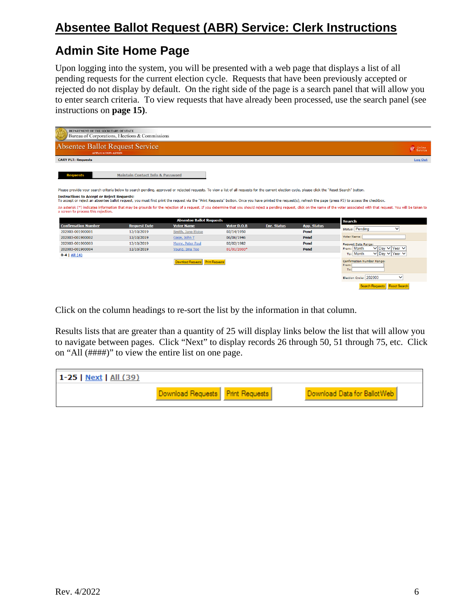#### **Admin Site Home Page**

Upon logging into the system, you will be presented with a web page that displays a list of all pending requests for the current election cycle. Requests that have been previously accepted or rejected do not display by default. On the right side of the page is a search panel that will allow you to enter search criteria. To view requests that have already been processed, use the search panel (see instructions on **page 15)**.

| DEPARTMENT OF THE SECRETARY OF STATE<br>Bureau of Corporations, Elections & Commissions                                                                                                                                                                          |                                             |                                  |             |                    |                    |                                                                                                                                                                                                                                                |
|------------------------------------------------------------------------------------------------------------------------------------------------------------------------------------------------------------------------------------------------------------------|---------------------------------------------|----------------------------------|-------------|--------------------|--------------------|------------------------------------------------------------------------------------------------------------------------------------------------------------------------------------------------------------------------------------------------|
| Absentee Ballot Request Service<br><b>APPLICATION ADMIN</b>                                                                                                                                                                                                      |                                             |                                  |             |                    |                    | C Service                                                                                                                                                                                                                                      |
| <b>CARY PLT: Requests</b>                                                                                                                                                                                                                                        |                                             |                                  |             |                    |                    | <b>Log Out</b>                                                                                                                                                                                                                                 |
| <b>Requests</b>                                                                                                                                                                                                                                                  | <b>Maintain Contact Info &amp; Password</b> |                                  |             |                    |                    |                                                                                                                                                                                                                                                |
| Please provide your search criteria below to search pending, approved or rejected requests. To view a list of all requests for the current election cycle, please click the "Reset Search" button.                                                               |                                             |                                  |             |                    |                    |                                                                                                                                                                                                                                                |
| <b>Instructions to Accept or Reject Requests:</b><br>To accept or reject an absentee ballot request, you must first print the request via the "Print Requests" button. Once you have printed the request(s), refresh the page (press F5) to access the checkbox. |                                             |                                  |             |                    |                    |                                                                                                                                                                                                                                                |
| a screen to process this rejection.                                                                                                                                                                                                                              |                                             | <b>Absentee Ballot Requests</b>  |             |                    |                    | An asterisk (*) indicates information that may be grounds for the rejection of a request. If you determine that you should reject a pending request, click on the name of the voter associated with that request. You will be<br><b>Search</b> |
| <b>Confirmation Number</b>                                                                                                                                                                                                                                       | <b>Request Date</b>                         | <b>Voter Name</b>                | Voter D.O.B | <b>Enr. Status</b> | <b>App. Status</b> | <b>Status: Pending</b><br>$\check{ }$                                                                                                                                                                                                          |
| 202003-001900001                                                                                                                                                                                                                                                 | 12/10/2019                                  | Smith, Jane Eloise               | 02/14/1950  |                    | Pend               |                                                                                                                                                                                                                                                |
| 202003-001900002                                                                                                                                                                                                                                                 | 12/10/2019                                  | Gage, John T                     | 06/06/1946  |                    | Pend               | Voter Name:                                                                                                                                                                                                                                    |
| 202003-001900003                                                                                                                                                                                                                                                 | 12/10/2019                                  | Merry, Peter Paul                | 02/02/1982  |                    | Pend               | Request Date Range:                                                                                                                                                                                                                            |
| 202003-001900004                                                                                                                                                                                                                                                 | 12/10/2019                                  | Young, Ima Too                   | 01/01/2003* |                    | Pend               | ∨ Day ∨ Year ∨<br>From: Month                                                                                                                                                                                                                  |
| $0 - 4$   All $(4)$                                                                                                                                                                                                                                              |                                             |                                  |             |                    |                    | $\vee$ Dav $\vee$ Year $\vee$<br>To: Month                                                                                                                                                                                                     |
|                                                                                                                                                                                                                                                                  |                                             | Download Requests Print Requests |             |                    |                    | Confirmation Number Range:<br>From:<br>To:<br>Election Cycle: 202003<br>$\checkmark$                                                                                                                                                           |
|                                                                                                                                                                                                                                                                  |                                             |                                  |             |                    |                    | Search Requests<br><b>Reset Search</b>                                                                                                                                                                                                         |

Click on the column headings to re-sort the list by the information in that column.

Results lists that are greater than a quantity of 25 will display links below the list that will allow you to navigate between pages. Click "Next" to display records 26 through 50, 51 through 75, etc. Click on "All (####)" to view the entire list on one page.

| 1-25   Next   All $(39)$ |                                    |                              |
|--------------------------|------------------------------------|------------------------------|
|                          | Download Requests   Print Requests | Download Data for Ballot Web |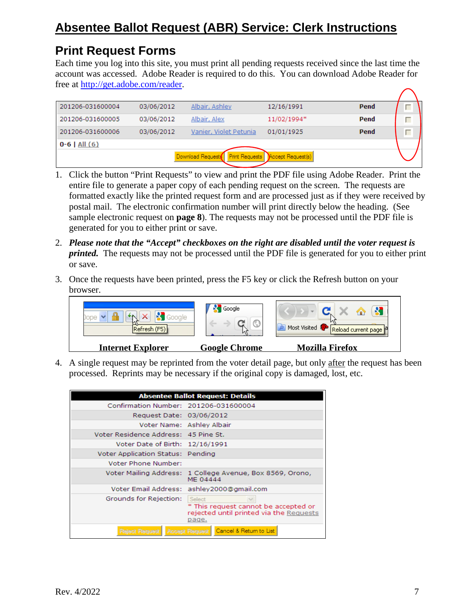#### **Print Request Forms**

Each time you log into this site, you must print all pending requests received since the last time the account was accessed. Adobe Reader is required to do this. You can download Adobe Reader for free at [http://get.adobe.com/reader.](http://get.adobe.com/reader)

| 201206-031600004  | 03/06/2012 | Albair, Ashley                             | 12/16/1991        | Pend |   |  |
|-------------------|------------|--------------------------------------------|-------------------|------|---|--|
| 201206-031600005  | 03/06/2012 | Albair, Alex                               | 11/02/1994*       | Pend | г |  |
| 201206-031600006  | 03/06/2012 | Vanier, Violet Petunia                     | 01/01/1925        | Pend |   |  |
| $0 - 6$   All (6) |            |                                            |                   |      |   |  |
|                   |            | Download Requests<br><b>Print Requests</b> | Accept Request(s) |      |   |  |

- 1. Click the button "Print Requests" to view and print the PDF file using Adobe Reader. Print the entire file to generate a paper copy of each pending request on the screen. The requests are formatted exactly like the printed request form and are processed just as if they were received by postal mail. The electronic confirmation number will print directly below the heading. (See sample electronic request on **page 8**). The requests may not be processed until the PDF file is generated for you to either print or save.
- 2. *Please note that the "Accept" checkboxes on the right are disabled until the voter request is printed.* The requests may not be processed until the PDF file is generated for you to either print or save.
- 3. Once the requests have been printed, press the F5 key or click the Refresh button on your browser.

| Refresh (F5).            | Google               | Most Visited 1<br>' Reload current page ] <sup>이</sup> |
|--------------------------|----------------------|--------------------------------------------------------|
| <b>Internet Explorer</b> | <b>Google Chrome</b> | <b>Mozilla Firefox</b>                                 |

4. A single request may be reprinted from the voter detail page, but only after the request has been processed. Reprints may be necessary if the original copy is damaged, lost, etc.

|                                       | <b>Absentee Ballot Request: Details</b>                                                            |
|---------------------------------------|----------------------------------------------------------------------------------------------------|
| Confirmation Number: 201206-031600004 |                                                                                                    |
| Request Date: 03/06/2012              |                                                                                                    |
|                                       | Voter Name: Ashley Albair                                                                          |
| Voter Residence Address: 45 Pine St.  |                                                                                                    |
| Voter Date of Birth: 12/16/1991       |                                                                                                    |
| Voter Application Status: Pending     |                                                                                                    |
| Voter Phone Number:                   |                                                                                                    |
|                                       | Voter Mailing Address: 1 College Avenue, Box 8569, Orono,<br>MF 04444                              |
|                                       | Voter Email Address: ashley2000@gmail.com                                                          |
| Grounds for Rejection:                | Select<br>* This request cannot be accepted or<br>rejected until printed via the Requests<br>page. |
| Relect Request                        | Accept Request   Cancel & Return to List                                                           |

 $\overline{\phantom{a}}$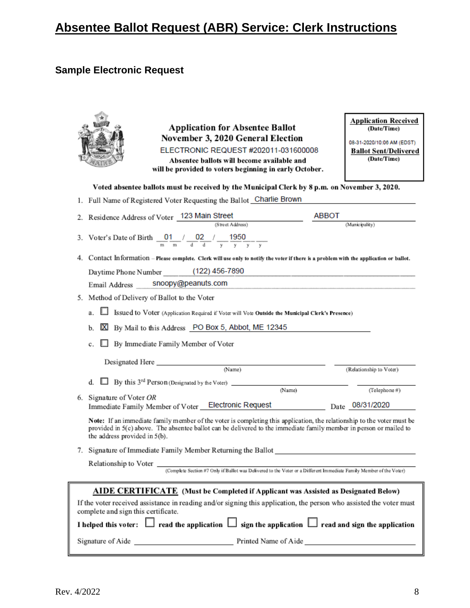#### **Sample Electronic Request**

| <b>Application for Absentee Ballot</b><br>November 3, 2020 General Election<br>ELECTRONIC REQUEST #202011-031600008<br>Absentee ballots will become available and<br>will be provided to voters beginning in early October.                                                   | <b>Application Received</b><br>(Date/Time)<br>08-31-2020/10:06 AM (EDST)<br><b>Ballot Sent/Delivered</b><br>(Date/Time) |  |
|-------------------------------------------------------------------------------------------------------------------------------------------------------------------------------------------------------------------------------------------------------------------------------|-------------------------------------------------------------------------------------------------------------------------|--|
| Voted absentee ballots must be received by the Municipal Clerk by 8 p.m. on November 3, 2020.                                                                                                                                                                                 |                                                                                                                         |  |
| 1. Full Name of Registered Voter Requesting the Ballot Charlie Brown                                                                                                                                                                                                          |                                                                                                                         |  |
| ABBOT<br>Residence Address of Voter 123 Main Street<br>2.<br>(Street Address)                                                                                                                                                                                                 | (Municipality)                                                                                                          |  |
| 3. Voter's Date of Birth $\frac{0}{m} \frac{1}{m}$ / $\frac{0}{4} \frac{2}{d}$ / $\frac{1}{v} \frac{1950}{v} - \frac{1}{v}$                                                                                                                                                   |                                                                                                                         |  |
| Contact Information - Please complete. Clerk will use only to notify the voter if there is a problem with the application or ballot.<br>4.                                                                                                                                    |                                                                                                                         |  |
| Daytime Phone Number (122) 456-7890                                                                                                                                                                                                                                           |                                                                                                                         |  |
| Email Address ____ snoopy@peanuts.com                                                                                                                                                                                                                                         |                                                                                                                         |  |
| Method of Delivery of Ballot to the Voter<br>5.                                                                                                                                                                                                                               |                                                                                                                         |  |
| Issued to Voter (Application Required if Voter will Vote Outside the Municipal Clerk's Presence)<br>a.                                                                                                                                                                        |                                                                                                                         |  |
| <b>X</b> By Mail to this Address PO Box 5, Abbot, ME 12345<br>b.                                                                                                                                                                                                              |                                                                                                                         |  |
| <b>By Immediate Family Member of Voter</b><br>c.                                                                                                                                                                                                                              |                                                                                                                         |  |
|                                                                                                                                                                                                                                                                               |                                                                                                                         |  |
| (Name)                                                                                                                                                                                                                                                                        | (Relationship to Voter)                                                                                                 |  |
| d.                                                                                                                                                                                                                                                                            |                                                                                                                         |  |
| (Name)<br>Signature of Voter OR<br>6.                                                                                                                                                                                                                                         | (Telephone#)                                                                                                            |  |
| Immediate Family Member of Voter _Electronic Request                                                                                                                                                                                                                          | Date 08/31/2020                                                                                                         |  |
| Note: If an immediate family member of the voter is completing this application, the relationship to the voter must be<br>provided in 5(c) above. The absentee ballot can be delivered to the immediate family member in person or mailed to<br>the address provided in 5(b). |                                                                                                                         |  |
| Signature of Immediate Family Member Returning the Ballot<br>7. .                                                                                                                                                                                                             |                                                                                                                         |  |
| Relationship to Voter (Complete Section #7 Only if Ballot was Delivered to the Voter or a Different Immediate Family Member of the Voter)                                                                                                                                     |                                                                                                                         |  |
| AIDE CERTIFICATE (Must be Completed if Applicant was Assisted as Designated Below)<br>If the voter received assistance in reading and/or signing this application, the person who assisted the voter must<br>complete and sign this certificate.                              |                                                                                                                         |  |
| I helped this voter: $\Box$ read the application $\Box$ sign the application $\Box$ read and sign the application                                                                                                                                                             |                                                                                                                         |  |
|                                                                                                                                                                                                                                                                               |                                                                                                                         |  |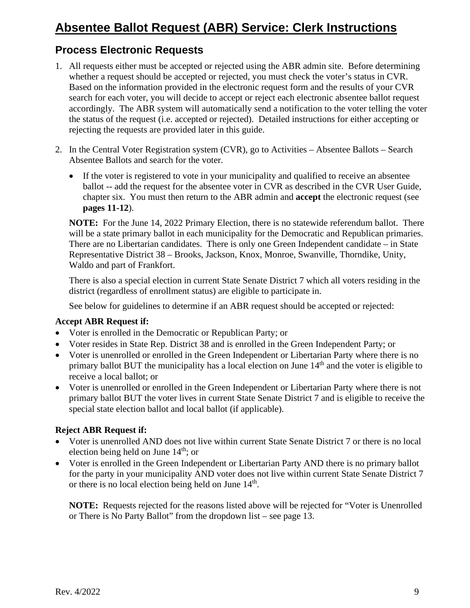#### **Process Electronic Requests**

- 1. All requests either must be accepted or rejected using the ABR admin site. Before determining whether a request should be accepted or rejected, you must check the voter's status in CVR. Based on the information provided in the electronic request form and the results of your CVR search for each voter, you will decide to accept or reject each electronic absentee ballot request accordingly. The ABR system will automatically send a notification to the voter telling the voter the status of the request (i.e. accepted or rejected). Detailed instructions for either accepting or rejecting the requests are provided later in this guide.
- 2. In the Central Voter Registration system (CVR), go to Activities Absentee Ballots Search Absentee Ballots and search for the voter.
	- If the voter is registered to vote in your municipality and qualified to receive an absentee ballot -- add the request for the absentee voter in CVR as described in the CVR User Guide, chapter six. You must then return to the ABR admin and **accept** the electronic request (see **pages 11-12**).

**NOTE:** For the June 14, 2022 Primary Election, there is no statewide referendum ballot. There will be a state primary ballot in each municipality for the Democratic and Republican primaries. There are no Libertarian candidates. There is only one Green Independent candidate – in State Representative District 38 – Brooks, Jackson, Knox, Monroe, Swanville, Thorndike, Unity, Waldo and part of Frankfort.

There is also a special election in current State Senate District 7 which all voters residing in the district (regardless of enrollment status) are eligible to participate in.

See below for guidelines to determine if an ABR request should be accepted or rejected:

#### **Accept ABR Request if:**

- Voter is enrolled in the Democratic or Republican Party; or
- Voter resides in State Rep. District 38 and is enrolled in the Green Independent Party; or
- Voter is unenrolled or enrolled in the Green Independent or Libertarian Party where there is no primary ballot BUT the municipality has a local election on June  $14<sup>th</sup>$  and the voter is eligible to receive a local ballot; or
- Voter is unenrolled or enrolled in the Green Independent or Libertarian Party where there is not primary ballot BUT the voter lives in current State Senate District 7 and is eligible to receive the special state election ballot and local ballot (if applicable).

#### **Reject ABR Request if:**

- Voter is unenrolled AND does not live within current State Senate District 7 or there is no local election being held on June  $14<sup>th</sup>$ ; or
- Voter is enrolled in the Green Independent or Libertarian Party AND there is no primary ballot for the party in your municipality AND voter does not live within current State Senate District 7 or there is no local election being held on June  $14<sup>th</sup>$ .

**NOTE:** Requests rejected for the reasons listed above will be rejected for "Voter is Unenrolled or There is No Party Ballot" from the dropdown list – see page 13.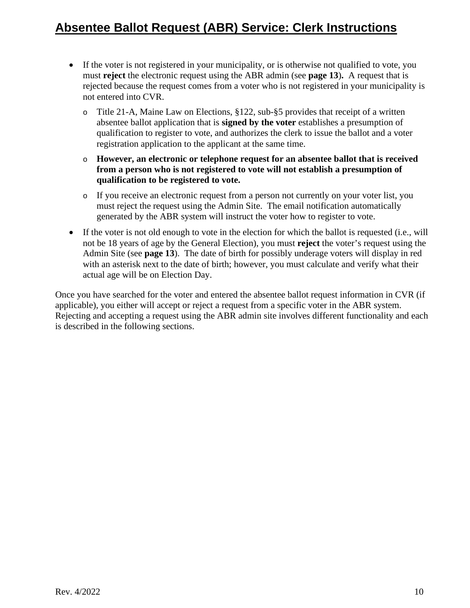- If the voter is not registered in your municipality, or is otherwise not qualified to vote, you must **reject** the electronic request using the ABR admin (see **page 13**)**.** A request that is rejected because the request comes from a voter who is not registered in your municipality is not entered into CVR.
	- o Title 21-A, Maine Law on Elections, §122, sub-§5 provides that receipt of a written absentee ballot application that is **signed by the voter** establishes a presumption of qualification to register to vote, and authorizes the clerk to issue the ballot and a voter registration application to the applicant at the same time.
	- o **However, an electronic or telephone request for an absentee ballot that is received from a person who is not registered to vote will not establish a presumption of qualification to be registered to vote.**
	- o If you receive an electronic request from a person not currently on your voter list, you must reject the request using the Admin Site. The email notification automatically generated by the ABR system will instruct the voter how to register to vote.
- If the voter is not old enough to vote in the election for which the ballot is requested (i.e., will not be 18 years of age by the General Election), you must **reject** the voter's request using the Admin Site (see **page 13**). The date of birth for possibly underage voters will display in red with an asterisk next to the date of birth; however, you must calculate and verify what their actual age will be on Election Day.

Once you have searched for the voter and entered the absentee ballot request information in CVR (if applicable), you either will accept or reject a request from a specific voter in the ABR system. Rejecting and accepting a request using the ABR admin site involves different functionality and each is described in the following sections.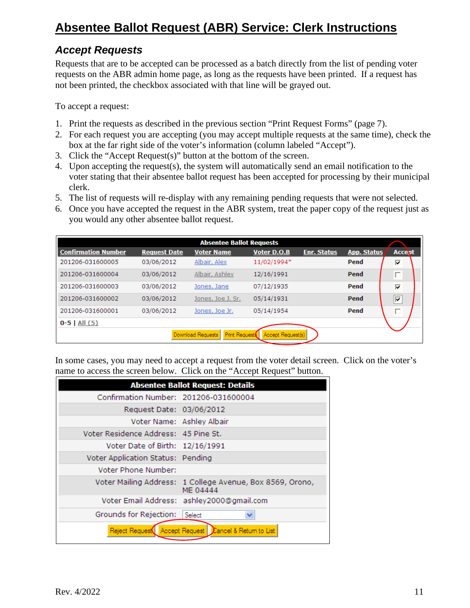#### *Accept Requests*

Requests that are to be accepted can be processed as a batch directly from the list of pending voter requests on the ABR admin home page, as long as the requests have been printed. If a request has not been printed, the checkbox associated with that line will be grayed out.

To accept a request:

- 1. Print the requests as described in the previous section "Print Request Forms" (page 7).
- 2. For each request you are accepting (you may accept multiple requests at the same time), check the box at the far right side of the voter's information (column labeled "Accept").
- 3. Click the "Accept Request(s)" button at the bottom of the screen.
- 4. Upon accepting the request(s), the system will automatically send an email notification to the voter stating that their absentee ballot request has been accepted for processing by their municipal clerk.
- 5. The list of requests will re-display with any remaining pending requests that were not selected.
- 6. Once you have accepted the request in the ABR system, treat the paper copy of the request just as you would any other absentee ballot request.

| <b>Absentee Ballot Requests</b>                         |                     |                   |                    |                    |                    |                                      |
|---------------------------------------------------------|---------------------|-------------------|--------------------|--------------------|--------------------|--------------------------------------|
| <b>Confirmation Number</b>                              | <b>Request Date</b> | <b>Voter Name</b> | <b>Voter D.O.B</b> | <b>Enr. Status</b> | <b>App. Status</b> | <b>Accept</b>                        |
| 201206-031600005                                        | 03/06/2012          | Albair, Alex      | 11/02/1994*        |                    | Pend               | $\overline{\mathbf{v}}$              |
| 201206-031600004                                        | 03/06/2012          | Albair, Ashley    | 12/16/1991         |                    | Pend               | П                                    |
| 201206-031600003                                        | 03/06/2012          | Jones, Jane       | 07/12/1935         |                    | Pend               | ⊽                                    |
| 201206-031600002                                        | 03/06/2012          | Jones, Joe J. Sr. | 05/14/1931         |                    | Pend               | $\left[\overline{\mathbf{v}}\right]$ |
| 201206-031600001                                        | 03/06/2012          | Jones, Joe Jr.    | 05/14/1954         |                    | Pend               | г                                    |
| $0-5$   All $(5)$                                       |                     |                   |                    |                    |                    |                                      |
| Print Request<br>Download Requests<br>Accept Request(s) |                     |                   |                    |                    |                    |                                      |

In some cases, you may need to accept a request from the voter detail screen. Click on the voter's name to access the screen below. Click on the "Accept Request" button.

|                                       | <b>Absentee Ballot Request: Details</b>                               |
|---------------------------------------|-----------------------------------------------------------------------|
| Confirmation Number: 201206-031600004 |                                                                       |
| Request Date: 03/06/2012              |                                                                       |
|                                       | Voter Name: Ashley Albair                                             |
| Voter Residence Address: 45 Pine St.  |                                                                       |
| Voter Date of Birth: 12/16/1991       |                                                                       |
| Voter Application Status: Pending     |                                                                       |
| Voter Phone Number:                   |                                                                       |
|                                       | Voter Mailing Address: 1 College Avenue, Box 8569, Orono,<br>ME 04444 |
|                                       | Voter Email Address: ashley2000@gmail.com                             |
| Grounds for Rejection:                | Select                                                                |
|                                       | Reject Request Accept Request   Cancel & Return to List               |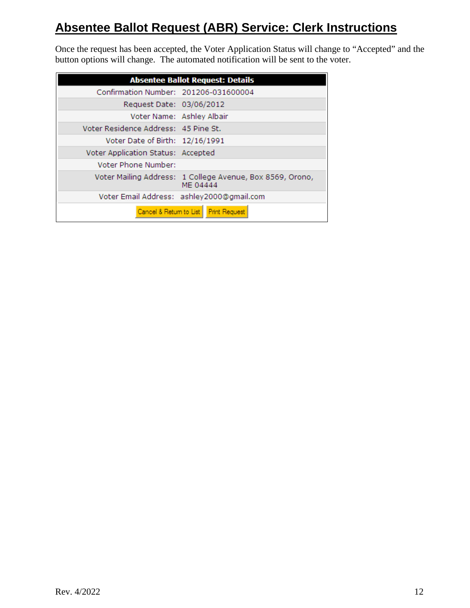Once the request has been accepted, the Voter Application Status will change to "Accepted" and the button options will change. The automated notification will be sent to the voter.

|                                       | <b>Absentee Ballot Request: Details</b>                               |
|---------------------------------------|-----------------------------------------------------------------------|
| Confirmation Number: 201206-031600004 |                                                                       |
| Request Date: 03/06/2012              |                                                                       |
|                                       | Voter Name: Ashley Albair                                             |
| Voter Residence Address: 45 Pine St.  |                                                                       |
| Voter Date of Birth: 12/16/1991       |                                                                       |
| Voter Application Status: Accepted    |                                                                       |
| Voter Phone Number:                   |                                                                       |
|                                       | Voter Mailing Address: 1 College Avenue, Box 8569, Orono,<br>ME 04444 |
|                                       | Voter Email Address: ashley2000@gmail.com                             |
|                                       | Cancel & Return to List   Print Request                               |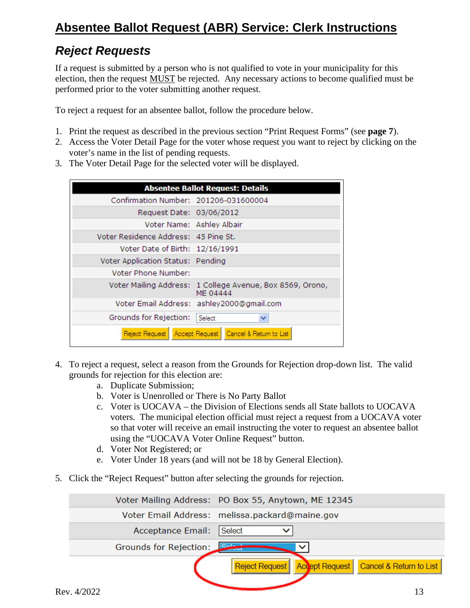#### *Reject Requests*

If a request is submitted by a person who is not qualified to vote in your municipality for this election, then the request MUST be rejected. Any necessary actions to become qualified must be performed prior to the voter submitting another request.

To reject a request for an absentee ballot, follow the procedure below.

- 1. Print the request as described in the previous section "Print Request Forms" (see **page 7**).
- 2. Access the Voter Detail Page for the voter whose request you want to reject by clicking on the voter's name in the list of pending requests.
- 3. The Voter Detail Page for the selected voter will be displayed.

|                                           | <b>Absentee Ballot Request: Details</b>                               |
|-------------------------------------------|-----------------------------------------------------------------------|
| Confirmation Number: 201206-031600004     |                                                                       |
| Request Date: 03/06/2012                  |                                                                       |
| Voter Name: Ashley Albair                 |                                                                       |
| Voter Residence Address: 45 Pine St.      |                                                                       |
| Voter Date of Birth: 12/16/1991           |                                                                       |
| Voter Application Status: Pending         |                                                                       |
| Voter Phone Number:                       |                                                                       |
|                                           | Voter Mailing Address: 1 College Avenue, Box 8569, Orono,<br>ME 04444 |
| Voter Email Address: ashley2000@gmail.com |                                                                       |
| Grounds for Rejection:                    | Select<br>v                                                           |
|                                           | Reject Request   Accept Request   Cancel & Return to List             |

- 4. To reject a request, select a reason from the Grounds for Rejection drop-down list. The valid grounds for rejection for this election are:
	- a. Duplicate Submission;
	- b. Voter is Unenrolled or There is No Party Ballot
	- c. Voter is UOCAVA the Division of Elections sends all State ballots to UOCAVA voters. The municipal election official must reject a request from a UOCAVA voter so that voter will receive an email instructing the voter to request an absentee ballot using the "UOCAVA Voter Online Request" button.
	- d. Voter Not Registered; or
	- e. Voter Under 18 years (and will not be 18 by General Election).
- 5. Click the "Reject Request" button after selecting the grounds for rejection.

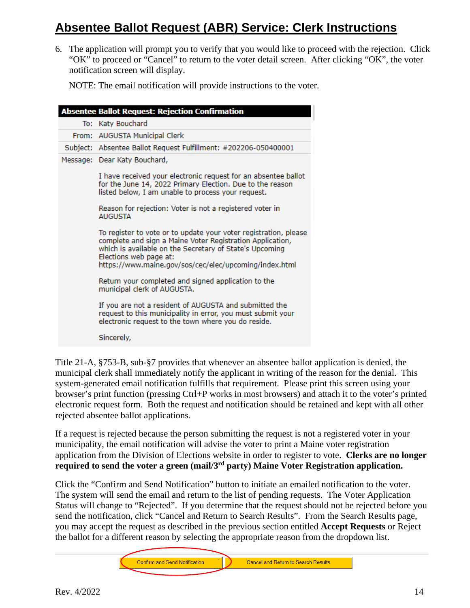6. The application will prompt you to verify that you would like to proceed with the rejection. Click "OK" to proceed or "Cancel" to return to the voter detail screen. After clicking "OK", the voter notification screen will display.

NOTE: The email notification will provide instructions to the voter.

| <b>Absentee Ballot Request: Rejection Confirmation</b>                                                                                                                                                                                                                                          |
|-------------------------------------------------------------------------------------------------------------------------------------------------------------------------------------------------------------------------------------------------------------------------------------------------|
| To: Katy Bouchard                                                                                                                                                                                                                                                                               |
| From: AUGUSTA Municipal Clerk                                                                                                                                                                                                                                                                   |
| Subject: Absentee Ballot Request Fulfillment: #202206-050400001                                                                                                                                                                                                                                 |
| Message: Dear Katy Bouchard,<br>I have received your electronic request for an absentee ballot<br>for the June 14, 2022 Primary Election. Due to the reason<br>listed below, I am unable to process your request.<br>Reason for rejection: Voter is not a registered voter in<br><b>AUGUSTA</b> |
| To register to vote or to update your voter registration, please<br>complete and sign a Maine Voter Registration Application,<br>which is available on the Secretary of State's Upcoming<br>Elections web page at:<br>https://www.maine.gov/sos/cec/elec/upcoming/index.html                    |
| Return your completed and signed application to the<br>municipal clerk of AUGUSTA.                                                                                                                                                                                                              |
| If you are not a resident of AUGUSTA and submitted the<br>request to this municipality in error, you must submit your<br>electronic request to the town where you do reside.                                                                                                                    |
| Sincerely,                                                                                                                                                                                                                                                                                      |

Title 21-A, §753-B, sub-§7 provides that whenever an absentee ballot application is denied, the municipal clerk shall immediately notify the applicant in writing of the reason for the denial. This system-generated email notification fulfills that requirement. Please print this screen using your browser's print function (pressing Ctrl+P works in most browsers) and attach it to the voter's printed electronic request form. Both the request and notification should be retained and kept with all other rejected absentee ballot applications.

If a request is rejected because the person submitting the request is not a registered voter in your municipality, the email notification will advise the voter to print a Maine voter registration application from the Division of Elections website in order to register to vote. **Clerks are no longer required to send the voter a green (mail/3rd party) Maine Voter Registration application.**

Click the "Confirm and Send Notification" button to initiate an emailed notification to the voter. The system will send the email and return to the list of pending requests. The Voter Application Status will change to "Rejected". If you determine that the request should not be rejected before you send the notification, click "Cancel and Return to Search Results". From the Search Results page, you may accept the request as described in the previous section entitled **Accept Requests** or Reject the ballot for a different reason by selecting the appropriate reason from the dropdown list.

Confirm and Send Notification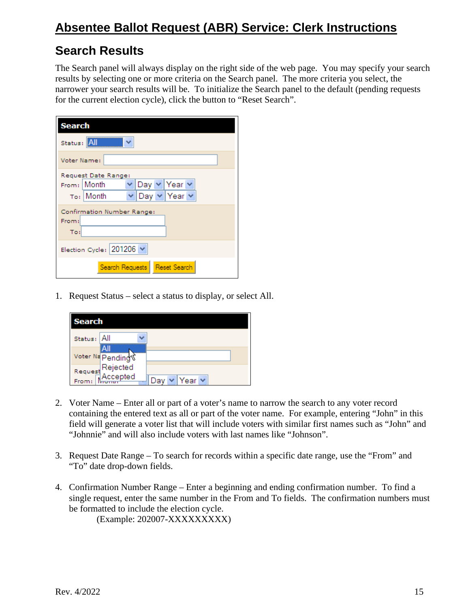### **Search Results**

The Search panel will always display on the right side of the web page. You may specify your search results by selecting one or more criteria on the Search panel. The more criteria you select, the narrower your search results will be. To initialize the Search panel to the default (pending requests for the current election cycle), click the button to "Reset Search".

| <b>Search</b>                      |
|------------------------------------|
| Status: All                        |
| Voter Name:                        |
| Request Date Range:                |
| ∨ Day ∨ Year ∨<br>From: Month      |
| Day v Year v<br>To:   <b>Month</b> |
| Confirmation Number Range:         |
| From:                              |
| To:                                |
| Election Cycle: 201206 v           |
| Reset Search<br>Search Requests    |

1. Request Status – select a status to display, or select All.

| <b>Search</b> |                                      |       |  |  |
|---------------|--------------------------------------|-------|--|--|
| Status:       | All                                  |       |  |  |
|               | Voter Na Pending                     |       |  |  |
|               | Request Rejected<br>Example Accepted | Yearl |  |  |

- 2. Voter Name Enter all or part of a voter's name to narrow the search to any voter record containing the entered text as all or part of the voter name. For example, entering "John" in this field will generate a voter list that will include voters with similar first names such as "John" and "Johnnie" and will also include voters with last names like "Johnson".
- 3. Request Date Range To search for records within a specific date range, use the "From" and "To" date drop-down fields.
- 4. Confirmation Number Range Enter a beginning and ending confirmation number. To find a single request, enter the same number in the From and To fields. The confirmation numbers must be formatted to include the election cycle.

(Example: 202007-XXXXXXXXX)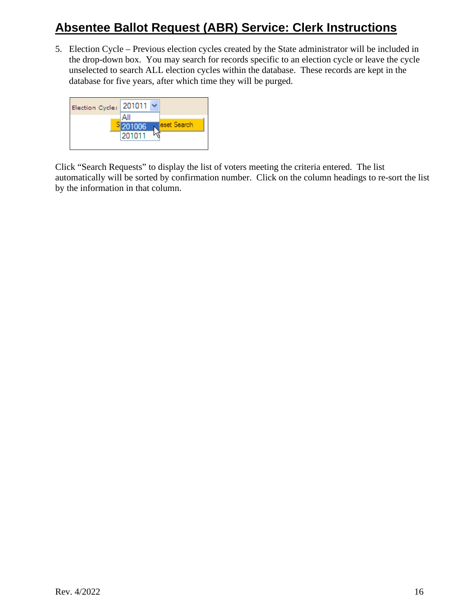5. Election Cycle – Previous election cycles created by the State administrator will be included in the drop-down box. You may search for records specific to an election cycle or leave the cycle unselected to search ALL election cycles within the database. These records are kept in the database for five years, after which time they will be purged.



Click "Search Requests" to display the list of voters meeting the criteria entered. The list automatically will be sorted by confirmation number. Click on the column headings to re-sort the list by the information in that column.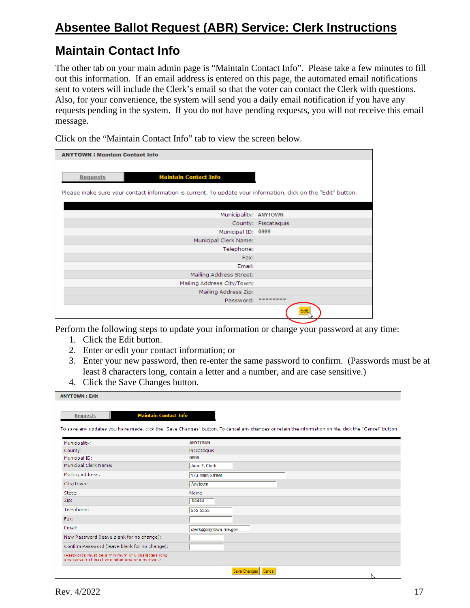### **Maintain Contact Info**

The other tab on your main admin page is "Maintain Contact Info". Please take a few minutes to fill out this information. If an email address is entered on this page, the automated email notifications sent to voters will include the Clerk's email so that the voter can contact the Clerk with questions. Also, for your convenience, the system will send you a daily email notification if you have any requests pending in the system. If you do not have pending requests, you will not receive this email message.

Click on the "Maintain Contact Info" tab to view the screen below.

| <b>ANYTOWN: Maintain Contact Info</b>                                                                                                                            |                     |
|------------------------------------------------------------------------------------------------------------------------------------------------------------------|---------------------|
| <b>Maintain Contact Info</b><br><b>Requests</b><br>Please make sure your contact information is current. To update your information, click on the "Edit" button. |                     |
|                                                                                                                                                                  |                     |
| Municipality: ANYTOWN                                                                                                                                            |                     |
|                                                                                                                                                                  | County: Piscataquis |
| Municipal ID: 0999                                                                                                                                               |                     |
| Municipal Clerk Name:                                                                                                                                            |                     |
| Telephone:                                                                                                                                                       |                     |
| Fax:                                                                                                                                                             |                     |
| Email:                                                                                                                                                           |                     |
| Mailing Address Street:                                                                                                                                          |                     |
| Mailing Address City/Town:                                                                                                                                       |                     |
| Mailing Address Zip:                                                                                                                                             |                     |
| Password:                                                                                                                                                        | ********            |
|                                                                                                                                                                  |                     |

Perform the following steps to update your information or change your password at any time:

- 1. Click the Edit button.
- 2. Enter or edit your contact information; or
- 3. Enter your new password, then re-enter the same password to confirm. (Passwords must be at least 8 characters long, contain a letter and a number, and are case sensitive.)
- 4. Click the Save Changes button.

| <b>ANYTOWN: Edit</b>                                                                                  |                                                                                                                                                         |
|-------------------------------------------------------------------------------------------------------|---------------------------------------------------------------------------------------------------------------------------------------------------------|
| <b>Maintain Contact Info</b><br><b>Requests</b>                                                       | To save any updates you have made, click the "Save Changes" button. To cancel any changes or retain the information on file, click the "Cancel" button. |
| Municipality:                                                                                         | <b>ANYTOWN</b>                                                                                                                                          |
| County:                                                                                               | Piscataquis                                                                                                                                             |
| Municipal ID:                                                                                         | 0999                                                                                                                                                    |
| Municipal Clerk Name:                                                                                 | Jane E. Clerk                                                                                                                                           |
| Mailing Address:                                                                                      | 123 Main Street                                                                                                                                         |
| City/Town:                                                                                            | Anytown                                                                                                                                                 |
| State:                                                                                                | Maine                                                                                                                                                   |
| Zip:                                                                                                  | 04444                                                                                                                                                   |
| Telephone:                                                                                            | 555-5555                                                                                                                                                |
| Fax:                                                                                                  |                                                                                                                                                         |
| Email:                                                                                                | clerk@anytown-me.gov                                                                                                                                    |
| New Password (leave blank for no change):                                                             |                                                                                                                                                         |
| Confirm Password (leave blank for no change):                                                         |                                                                                                                                                         |
| (Passwords must be a minimum of 8 characters long<br>and contain at least one letter and one number.) |                                                                                                                                                         |
|                                                                                                       | Save Changes<br>Cancel<br>N                                                                                                                             |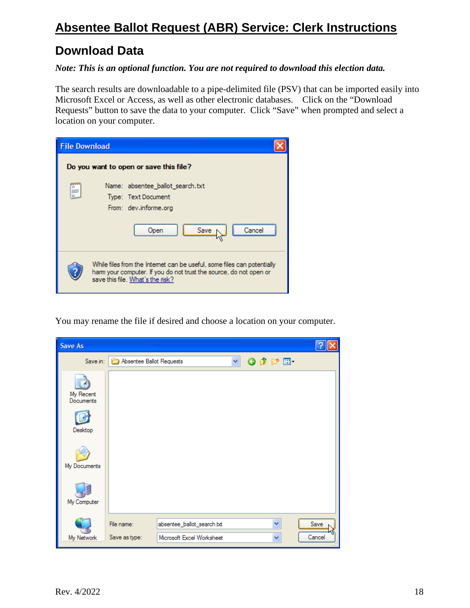### **Download Data**

#### *Note: This is an optional function. You are not required to download this election data.*

The search results are downloadable to a pipe-delimited file (PSV) that can be imported easily into Microsoft Excel or Access, as well as other electronic databases. Click on the "Download Requests" button to save the data to your computer. Click "Save" when prompted and select a location on your computer.

| <b>File Download</b> |                                                                                                                                                                                  |
|----------------------|----------------------------------------------------------------------------------------------------------------------------------------------------------------------------------|
|                      | Do you want to open or save this file?                                                                                                                                           |
| Ë                    | Name: absentee_ballot_search.txt<br>Type: Text Document<br>From: dev.informe.org<br>Cancel<br>Save<br>Open                                                                       |
|                      | While files from the Internet can be useful, some files can potentially<br>ham your computer. If you do not trust the source, do not open or<br>save this file. What's the risk? |

You may rename the file if desired and choose a location on your computer.

| <b>Save As</b>         |                          |                            |   |                 |   |        |
|------------------------|--------------------------|----------------------------|---|-----------------|---|--------|
| Save in:               | Absentee Ballot Requests |                            | × | $O$ $D$ $D$ $E$ |   |        |
| My Recent<br>Documents |                          |                            |   |                 |   |        |
| Desktop                |                          |                            |   |                 |   |        |
| My Documents           |                          |                            |   |                 |   |        |
| My Computer            |                          |                            |   |                 |   |        |
|                        | File name:               | absentee_ballot_search.txt |   |                 | v | Save   |
| My Network             | Save as type:            | Microsoft Excel Worksheet  |   |                 | Ÿ | Cancel |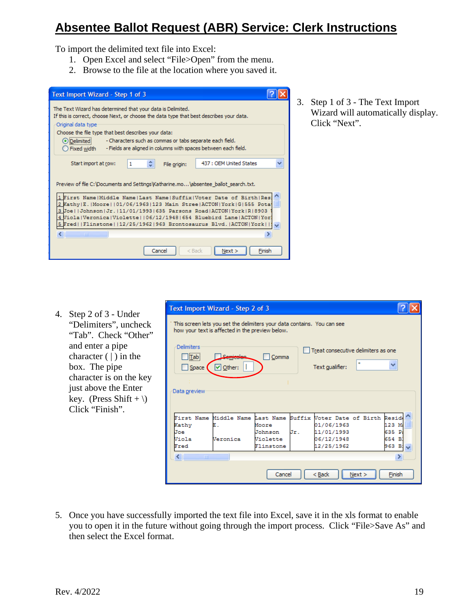To import the delimited text file into Excel:

- 1. Open Excel and select "File>Open" from the menu.
- 2. Browse to the file at the location where you saved it.

| Text Import Wizard - Step 1 of 3                                                                                                                                                                                                                                                                                                                                                                                 |  |
|------------------------------------------------------------------------------------------------------------------------------------------------------------------------------------------------------------------------------------------------------------------------------------------------------------------------------------------------------------------------------------------------------------------|--|
| The Text Wizard has determined that your data is Delimited.<br>If this is correct, choose Next, or choose the data type that best describes your data.<br>Original data type                                                                                                                                                                                                                                     |  |
| Choose the file type that best describes your data:<br>⊙ Delimited<br>- Characters such as commas or tabs separate each field.<br>- Fields are aligned in columns with spaces between each field.<br>◯ Fixed width                                                                                                                                                                                               |  |
| 437 : OEM United States<br>Start import at row:<br>1<br>File origin:                                                                                                                                                                                                                                                                                                                                             |  |
| Preview of file C:\Documents and Settings\Katharine.mo\absentee ballot search.txt.<br>1 First Name   Middle Name   Last Name   Suffix   Voter Date of Birth   Res:<br>2 Kathy   E.   Moore     01/06/1963   123 Main Stree   ACTON   York   G   555 Pota<br>3 Joe  Johnson Jr. 11/01/1993 635 Parsons Road ACTON York R 8903 <br>4 Viola   Veronica   Violette     06/12/1948   654 Bluebird Lane   ACTON   Yor] |  |
| 5 Fred  Flinstone  12/25/1962 963 Brontosaurus Blvd. ACTON York  9<br>≺∣<br>TITE.                                                                                                                                                                                                                                                                                                                                |  |
| $<$ Back<br>Finish<br>Cancel<br>Next >                                                                                                                                                                                                                                                                                                                                                                           |  |

3. Step 1 of 3 - The Text Import Wizard will automatically display. Click "Next".

4. Step 2 of 3 - Under "Delimiters", uncheck "Tab". Check "Other" and enter a pipe character  $( )$  in the box. The pipe character is on the key just above the Enter key. (Press Shift + \) Click "Finish".

|                              | Text Import Wizard - Step 2 of 3                                                                                           |           |     |                                     |                   |
|------------------------------|----------------------------------------------------------------------------------------------------------------------------|-----------|-----|-------------------------------------|-------------------|
|                              | This screen lets you set the delimiters your data contains. You can see<br>how your text is affected in the preview below. |           |     |                                     |                   |
| Delimiters<br><u> Tab </u>   | Semicolon                                                                                                                  | Comma     |     | Treat consecutive delimiters as one |                   |
| Space                        | $\triangleright$ Other:                                                                                                    |           |     | Text qualifier:                     | v                 |
|                              |                                                                                                                            |           |     |                                     |                   |
|                              |                                                                                                                            |           |     |                                     |                   |
| Data preview                 |                                                                                                                            |           |     |                                     |                   |
|                              | First Name Middle Name Last Name Suffix Voter Date of Birth                                                                |           |     |                                     | Resid             |
| Kathy                        |                                                                                                                            | Moore     |     | 01/06/1963                          | 123 M             |
| Joe                          |                                                                                                                            | Johnson   | Jr. | 11/01/1993                          | 635 Pa            |
| Viola                        | Veronica                                                                                                                   | Violette  |     | 06/12/1948                          | 654 B)            |
| Fred                         |                                                                                                                            | Flinstone |     | 12/25/1962                          | 963 B: $\sqrt{ }$ |
| $\left\langle \right\rangle$ | <b>TITL</b>                                                                                                                |           |     |                                     |                   |
|                              |                                                                                                                            |           |     |                                     |                   |

5. Once you have successfully imported the text file into Excel, save it in the xls format to enable you to open it in the future without going through the import process. Click "File>Save As" and then select the Excel format.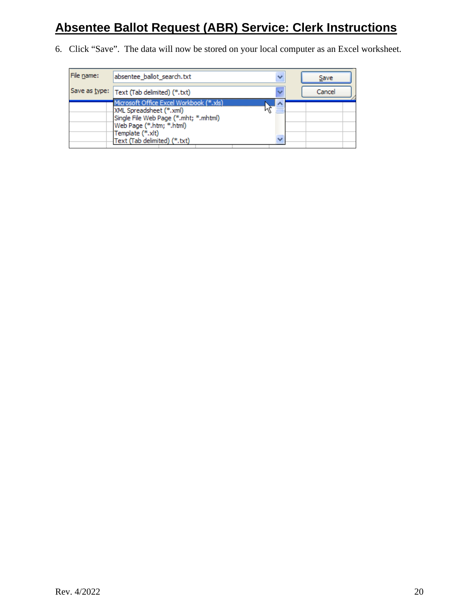6. Click "Save". The data will now be stored on your local computer as an Excel worksheet.

| File name: | absentee_ballot_search.txt                                                                                                                                                                  |   | Save   |
|------------|---------------------------------------------------------------------------------------------------------------------------------------------------------------------------------------------|---|--------|
|            | Save as type:   Text (Tab delimited) (*.txt)                                                                                                                                                |   | Cancel |
|            | Microsoft Office Excel Workbook (*.xls)<br>XML Spreadsheet (*.xml)<br>Single File Web Page (*.mht; *.mhtml)<br>Web Page (*.htm; *.html)<br>Template (*.xlt)<br>Text (Tab delimited) (*.txt) | w |        |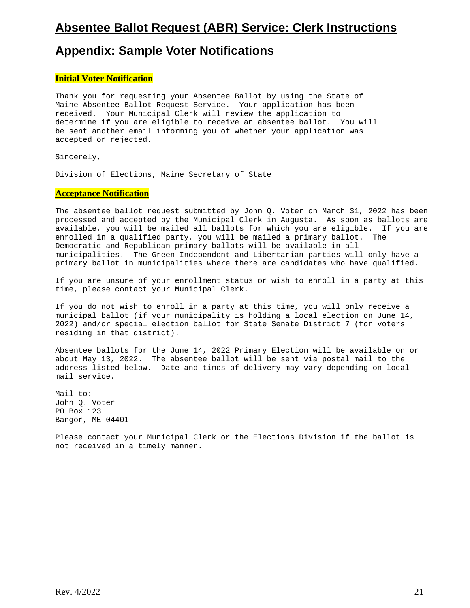#### **Appendix: Sample Voter Notifications**

#### **Initial Voter Notification**

Thank you for requesting your Absentee Ballot by using the State of Maine Absentee Ballot Request Service. Your application has been received. Your Municipal Clerk will review the application to determine if you are eligible to receive an absentee ballot. You will be sent another email informing you of whether your application was accepted or rejected.

Sincerely,

Division of Elections, Maine Secretary of State

#### **Acceptance Notification**

The absentee ballot request submitted by John Q. Voter on March 31, 2022 has been processed and accepted by the Municipal Clerk in Augusta. As soon as ballots are available, you will be mailed all ballots for which you are eligible. If you are enrolled in a qualified party, you will be mailed a primary ballot. The Democratic and Republican primary ballots will be available in all municipalities. The Green Independent and Libertarian parties will only have a primary ballot in municipalities where there are candidates who have qualified.

If you are unsure of your enrollment status or wish to enroll in a party at this time, please contact your Municipal Clerk.

If you do not wish to enroll in a party at this time, you will only receive a municipal ballot (if your municipality is holding a local election on June 14, 2022) and/or special election ballot for State Senate District 7 (for voters residing in that district).

Absentee ballots for the June 14, 2022 Primary Election will be available on or about May 13, 2022. The absentee ballot will be sent via postal mail to the address listed below. Date and times of delivery may vary depending on local mail service.

Mail to: John Q. Voter PO Box 123 Bangor, ME 04401

Please contact your Municipal Clerk or the Elections Division if the ballot is not received in a timely manner.